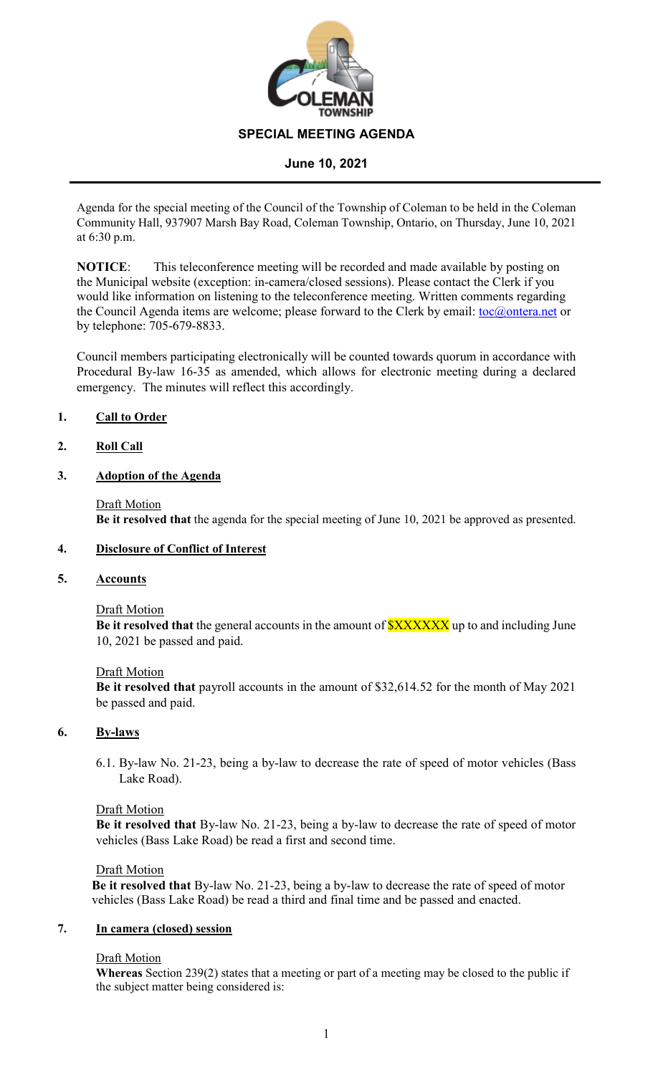

#### **June 10, 2021**

Agenda for the special meeting of the Council of the Township of Coleman to be held in the Coleman Community Hall, 937907 Marsh Bay Road, Coleman Township, Ontario, on Thursday, June 10, 2021 at 6:30 p.m.

**NOTICE**: This teleconference meeting will be recorded and made available by posting on the Municipal website (exception: in-camera/closed sessions). Please contact the Clerk if you would like information on listening to the teleconference meeting. Written comments regarding the Council Agenda items are welcome; please forward to the Clerk by email: <u>toc@ontera.net</u> or by telephone: 705-679-8833.

Council members participating electronically will be counted towards quorum in accordance with Procedural By-law 16-35 as amended, which allows for electronic meeting during a declared emergency. The minutes will reflect this accordingly.

#### **1. Call to Order**

#### **2. Roll Call**

# **3. Adoption of the Agenda**

Draft Motion **Be it resolved that** the agenda for the special meeting of June 10, 2021 be approved as presented.

# **4. Disclosure of Conflict of Interest**

### **5. Accounts**

#### Draft Motion

**Be it resolved that** the general accounts in the amount of **\$XXXXXX** up to and including June 10, 2021 be passed and paid.

#### Draft Motion

**Be it resolved that** payroll accounts in the amount of \$32,614.52 for the month of May 2021 be passed and paid.

#### **6. By-laws**

6.1. By-law No. 21-23, being a by-law to decrease the rate of speed of motor vehicles (Bass Lake Road).

#### Draft Motion

**Be it resolved that** By-law No. 21-23, being a by-law to decrease the rate of speed of motor vehicles (Bass Lake Road) be read a first and second time.

#### Draft Motion

**Be it resolved that** By-law No. 21-23, being a by-law to decrease the rate of speed of motor vehicles (Bass Lake Road) be read a third and final time and be passed and enacted.

#### **7. In camera (closed) session**

#### Draft Motion

**Whereas** Section 239(2) states that a meeting or part of a meeting may be closed to the public if the subject matter being considered is: